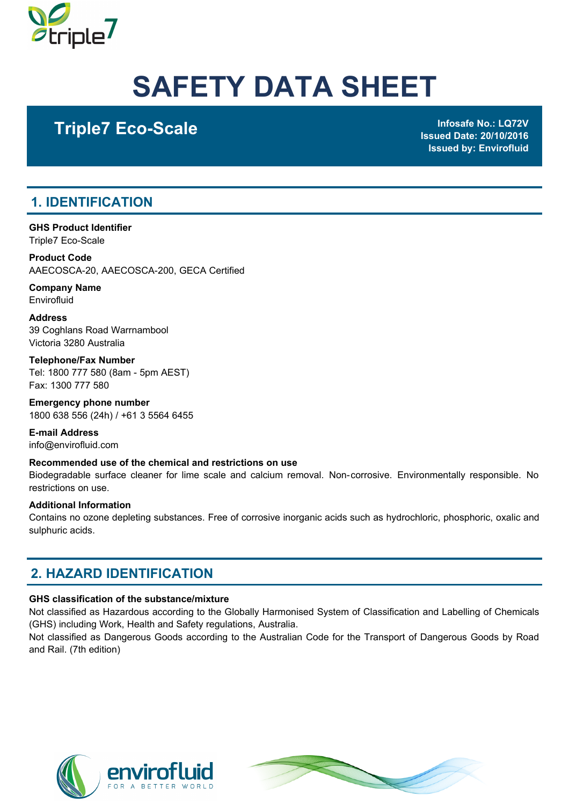

# SAFETY DATA SHEET

## Triple7 Eco-Scale Infosafe No.: LQ72V

Issued Date: 20/10/2016 Issued by: Envirofluid

### 1. IDENTIFICATION

GHS Product Identifier Triple7 Eco-Scale

Product Code AAECOSCA-20, AAECOSCA-200, GECA Certified

Company Name **Envirofluid** 

Address 39 Coghlans Road Warrnambool Victoria 3280 Australia

Telephone/Fax Number Tel: 1800 777 580 (8am - 5pm AEST) Fax: 1300 777 580

Emergency phone number 1800 638 556 (24h) / +61 3 5564 6455

E-mail Address info@envirofluid.com

#### Recommended use of the chemical and restrictions on use

Biodegradable surface cleaner for lime scale and calcium removal. Non-corrosive. Environmentally responsible. No restrictions on use.

#### Additional Information

Contains no ozone depleting substances. Free of corrosive inorganic acids such as hydrochloric, phosphoric, oxalic and sulphuric acids.

### 2. HAZARD IDENTIFICATION

#### GHS classification of the substance/mixture

Not classified as Hazardous according to the Globally Harmonised System of Classification and Labelling of Chemicals (GHS) including Work, Health and Safety regulations, Australia.

Not classified as Dangerous Goods according to the Australian Code for the Transport of Dangerous Goods by Road and Rail. (7th edition)



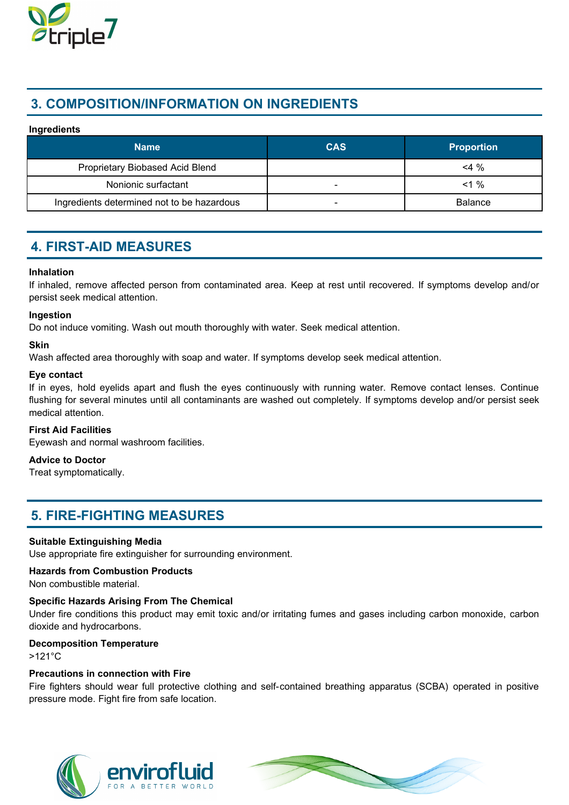

### 3. COMPOSITION/INFORMATION ON INGREDIENTS

#### Ingredients

| <b>Name</b>                                | <b>CAS</b>               | <b>Proportion</b> |
|--------------------------------------------|--------------------------|-------------------|
| Proprietary Biobased Acid Blend            |                          | $<$ 4 %           |
| Nonionic surfactant                        | -                        | $<1\%$            |
| Ingredients determined not to be hazardous | $\overline{\phantom{0}}$ | <b>Balance</b>    |

### 4. FIRST-AID MEASURES

#### Inhalation

If inhaled, remove affected person from contaminated area. Keep at rest until recovered. If symptoms develop and/or persist seek medical attention.

#### Ingestion

Do not induce vomiting. Wash out mouth thoroughly with water. Seek medical attention.

#### Skin

Wash affected area thoroughly with soap and water. If symptoms develop seek medical attention.

#### Eye contact

If in eyes, hold eyelids apart and flush the eyes continuously with running water. Remove contact lenses. Continue flushing for several minutes until all contaminants are washed out completely. If symptoms develop and/or persist seek medical attention.

#### First Aid Facilities

Eyewash and normal washroom facilities.

#### Advice to Doctor

Treat symptomatically.

### 5. FIRE-FIGHTING MEASURES

#### Suitable Extinguishing Media

Use appropriate fire extinguisher for surrounding environment.

#### Hazards from Combustion Products

Non combustible material.

#### Specific Hazards Arising From The Chemical

Under fire conditions this product may emit toxic and/or irritating fumes and gases including carbon monoxide, carbon dioxide and hydrocarbons.

#### Decomposition Temperature

>121°C

#### Precautions in connection with Fire

Fire fighters should wear full protective clothing and self-contained breathing apparatus (SCBA) operated in positive pressure mode. Fight fire from safe location.



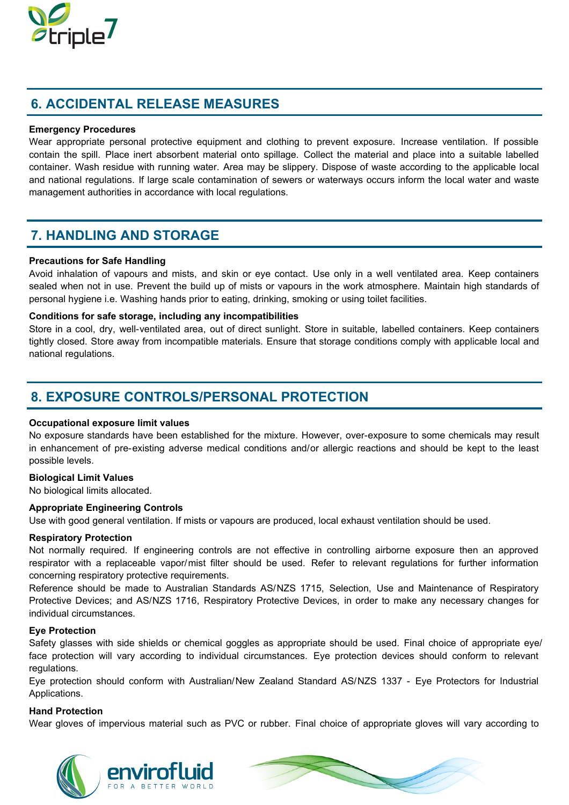

### 6. ACCIDENTAL RELEASE MEASURES

#### Emergency Procedures

Wear appropriate personal protective equipment and clothing to prevent exposure. Increase ventilation. If possible contain the spill. Place inert absorbent material onto spillage. Collect the material and place into a suitable labelled container. Wash residue with running water. Area may be slippery. Dispose of waste according to the applicable local and national regulations. If large scale contamination of sewers or waterways occurs inform the local water and waste management authorities in accordance with local regulations.

### 7. HANDLING AND STORAGE

#### Precautions for Safe Handling

Avoid inhalation of vapours and mists, and skin or eye contact. Use only in a well ventilated area. Keep containers sealed when not in use. Prevent the build up of mists or vapours in the work atmosphere. Maintain high standards of personal hygiene i.e. Washing hands prior to eating, drinking, smoking or using toilet facilities.

#### Conditions for safe storage, including any incompatibilities

Store in a cool, dry, well-ventilated area, out of direct sunlight. Store in suitable, labelled containers. Keep containers tightly closed. Store away from incompatible materials. Ensure that storage conditions comply with applicable local and national regulations.

### 8. EXPOSURE CONTROLS/PERSONAL PROTECTION

#### Occupational exposure limit values

No exposure standards have been established for the mixture. However, over-exposure to some chemicals may result in enhancement of pre-existing adverse medical conditions and/or allergic reactions and should be kept to the least possible levels.

#### Biological Limit Values

No biological limits allocated.

#### Appropriate Engineering Controls

Use with good general ventilation. If mists or vapours are produced, local exhaust ventilation should be used.

#### Respiratory Protection

Not normally required. If engineering controls are not effective in controlling airborne exposure then an approved respirator with a replaceable vapor/mist filter should be used. Refer to relevant regulations for further information concerning respiratory protective requirements.

Reference should be made to Australian Standards AS/NZS 1715, Selection, Use and Maintenance of Respiratory Protective Devices; and AS/NZS 1716, Respiratory Protective Devices, in order to make any necessary changes for individual circumstances.

#### Eye Protection

Safety glasses with side shields or chemical goggles as appropriate should be used. Final choice of appropriate eye/ face protection will vary according to individual circumstances. Eye protection devices should conform to relevant regulations.

Eye protection should conform with Australian/New Zealand Standard AS/NZS 1337 - Eye Protectors for Industrial Applications.

#### Hand Protection

Wear gloves of impervious material such as PVC or rubber. Final choice of appropriate gloves will vary according to



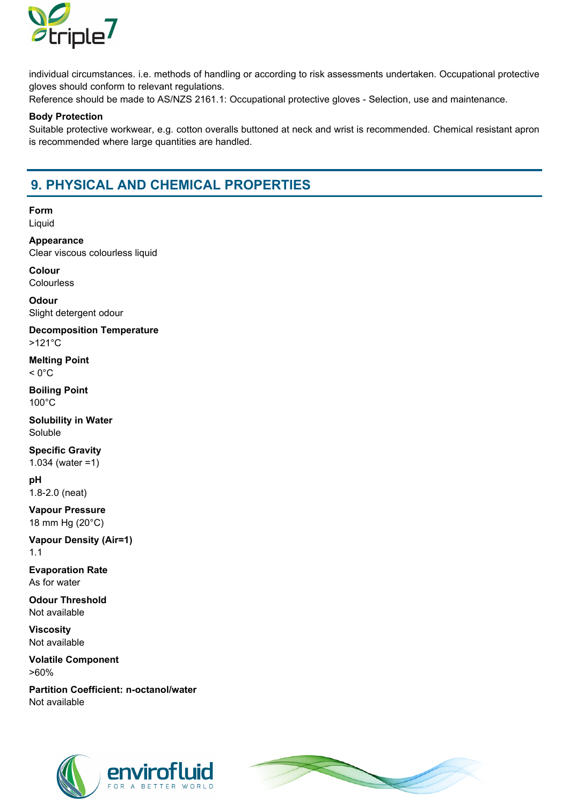

individual circumstances. i.e. methods of handling or according to risk assessments undertaken. Occupational protective gloves should conform to relevant regulations.

Reference should be made to AS/NZS 2161.1: Occupational protective gloves - Selection, use and maintenance.

#### Body Protection

Suitable protective workwear, e.g. cotton overalls buttoned at neck and wrist is recommended. Chemical resistant apron is recommended where large quantities are handled.

### 9. PHYSICAL AND CHEMICAL PROPERTIES

Form Liquid

Appearance Clear viscous colourless liquid

Colour **Colourless** 

**Odour** Slight detergent odour

Decomposition Temperature >121°C

Melting Point  $< 0$ °C

Boiling Point 100°C

Solubility in Water Soluble

Specific Gravity

1.034 (water =1)

pH 1.8-2.0 (neat)

Vapour Pressure 18 mm Hg (20°C)

Vapour Density (Air=1) 1.1

Evaporation Rate As for water

Odour Threshold Not available

Viscosity Not available

Volatile Component >60%

Partition Coefficient: n-octanol/water Not available



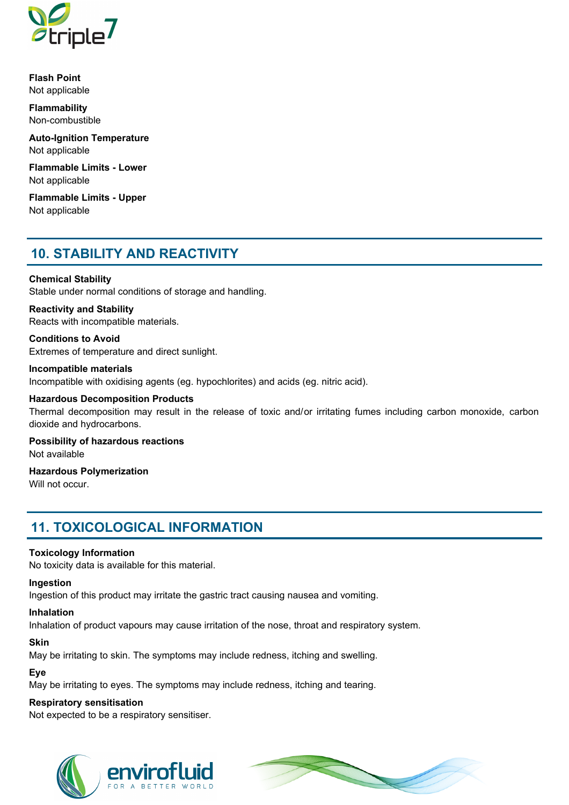

Flash Point Not applicable

Flammability Non-combustible

Auto-Ignition Temperature Not applicable

Flammable Limits - Lower Not applicable

Flammable Limits - Upper Not applicable

### 10. STABILITY AND REACTIVITY

#### Chemical Stability

Stable under normal conditions of storage and handling.

Reactivity and Stability Reacts with incompatible materials.

Conditions to Avoid Extremes of temperature and direct sunlight.

#### Incompatible materials

Incompatible with oxidising agents (eg. hypochlorites) and acids (eg. nitric acid).

#### Hazardous Decomposition Products

Thermal decomposition may result in the release of toxic and/or irritating fumes including carbon monoxide, carbon dioxide and hydrocarbons.

Possibility of hazardous reactions Not available

### Hazardous Polymerization

Will not occur.

### 11. TOXICOLOGICAL INFORMATION

#### Toxicology Information

No toxicity data is available for this material.

#### Ingestion

Ingestion of this product may irritate the gastric tract causing nausea and vomiting.

#### Inhalation

Inhalation of product vapours may cause irritation of the nose, throat and respiratory system.

#### Skin

May be irritating to skin. The symptoms may include redness, itching and swelling.

#### Eye

May be irritating to eyes. The symptoms may include redness, itching and tearing.

#### Respiratory sensitisation

Not expected to be a respiratory sensitiser.



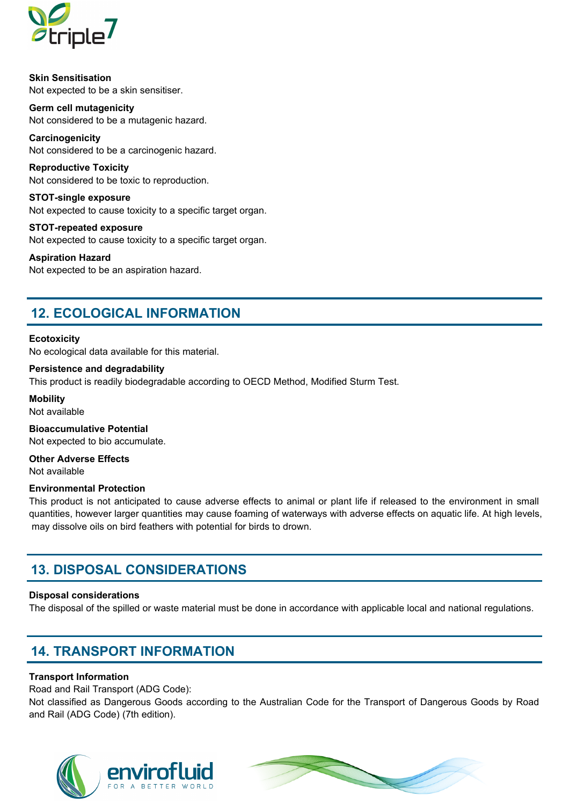

Skin Sensitisation Not expected to be a skin sensitiser.

Germ cell mutagenicity Not considered to be a mutagenic hazard.

**Carcinogenicity** Not considered to be a carcinogenic hazard.

Reproductive Toxicity Not considered to be toxic to reproduction.

STOT-single exposure Not expected to cause toxicity to a specific target organ.

STOT-repeated exposure Not expected to cause toxicity to a specific target organ.

Aspiration Hazard Not expected to be an aspiration hazard.

### 12. ECOLOGICAL INFORMATION

#### **Ecotoxicity**

No ecological data available for this material.

#### Persistence and degradability

This product is readily biodegradable according to OECD Method, Modified Sturm Test.

**Mobility** Not available

Bioaccumulative Potential Not expected to bio accumulate.

Other Adverse Effects Not available

#### Environmental Protection

This product is not anticipated to cause adverse effects to animal or plant life if released to the environment in small quantities, however larger quantities may cause foaming of waterways with adverse effects on aquatic life. At high levels, may dissolve oils on bird feathers with potential for birds to drown.

### 13. DISPOSAL CONSIDERATIONS

#### Disposal considerations

The disposal of the spilled or waste material must be done in accordance with applicable local and national regulations.

### 14. TRANSPORT INFORMATION

#### Transport Information

Road and Rail Transport (ADG Code):

Not classified as Dangerous Goods according to the Australian Code for the Transport of Dangerous Goods by Road and Rail (ADG Code) (7th edition).



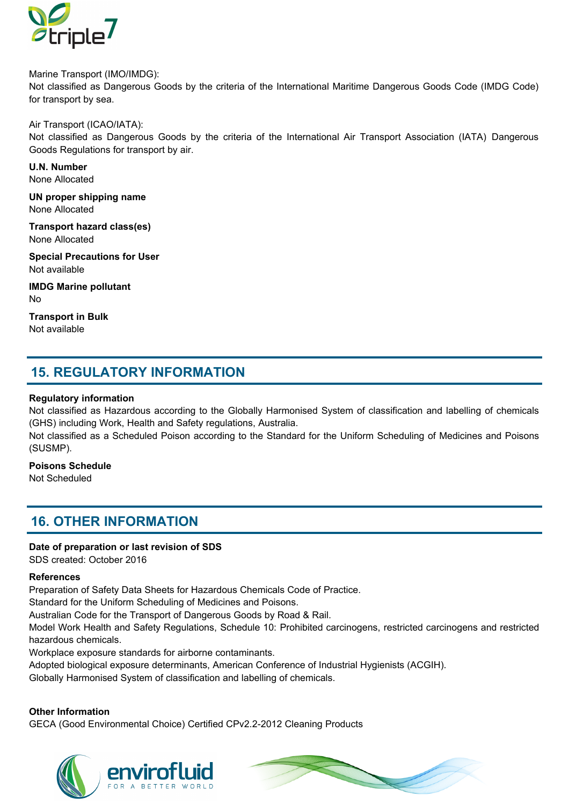

Marine Transport (IMO/IMDG): Not classified as Dangerous Goods by the criteria of the International Maritime Dangerous Goods Code (IMDG Code) for transport by sea.

Air Transport (ICAO/IATA):

Not classified as Dangerous Goods by the criteria of the International Air Transport Association (IATA) Dangerous Goods Regulations for transport by air.

U.N. Number None Allocated

UN proper shipping name None Allocated

Transport hazard class(es) None Allocated

Special Precautions for User Not available

IMDG Marine pollutant No

Transport in Bulk Not available

### 15. REGULATORY INFORMATION

#### Regulatory information

Not classified as Hazardous according to the Globally Harmonised System of classification and labelling of chemicals (GHS) including Work, Health and Safety regulations, Australia.

Not classified as a Scheduled Poison according to the Standard for the Uniform Scheduling of Medicines and Poisons (SUSMP).

Poisons Schedule

Not Scheduled

### 16. OTHER INFORMATION

#### Date of preparation or last revision of SDS

SDS created: October 2016

#### References

Preparation of Safety Data Sheets for Hazardous Chemicals Code of Practice.

Standard for the Uniform Scheduling of Medicines and Poisons.

Australian Code for the Transport of Dangerous Goods by Road & Rail.

Model Work Health and Safety Regulations, Schedule 10: Prohibited carcinogens, restricted carcinogens and restricted hazardous chemicals.

Workplace exposure standards for airborne contaminants.

Adopted biological exposure determinants, American Conference of Industrial Hygienists (ACGIH).

Globally Harmonised System of classification and labelling of chemicals.

#### Other Information

GECA (Good Environmental Choice) Certified CPv2.2-2012 Cleaning Products